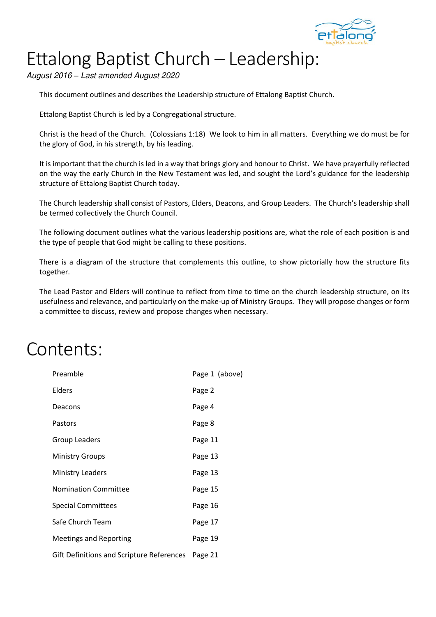

# Ettalong Baptist Church – Leadership:

August 2016 *–* Last amended August 2020

This document outlines and describes the Leadership structure of Ettalong Baptist Church.

Ettalong Baptist Church is led by a Congregational structure.

Christ is the head of the Church. (Colossians 1:18) We look to him in all matters. Everything we do must be for the glory of God, in his strength, by his leading.

It is important that the church is led in a way that brings glory and honour to Christ. We have prayerfully reflected on the way the early Church in the New Testament was led, and sought the Lord's guidance for the leadership structure of Ettalong Baptist Church today.

The Church leadership shall consist of Pastors, Elders, Deacons, and Group Leaders. The Church's leadership shall be termed collectively the Church Council.

The following document outlines what the various leadership positions are, what the role of each position is and the type of people that God might be calling to these positions.

There is a diagram of the structure that complements this outline, to show pictorially how the structure fits together.

The Lead Pastor and Elders will continue to reflect from time to time on the church leadership structure, on its usefulness and relevance, and particularly on the make-up of Ministry Groups. They will propose changes or form a committee to discuss, review and propose changes when necessary.

### Contents:

| Preamble                                  | Page 1 (above) |
|-------------------------------------------|----------------|
| Elders                                    | Page 2         |
| Deacons                                   | Page 4         |
| Pastors                                   | Page 8         |
| <b>Group Leaders</b>                      | Page 11        |
| <b>Ministry Groups</b>                    | Page 13        |
| <b>Ministry Leaders</b>                   | Page 13        |
| <b>Nomination Committee</b>               | Page 15        |
| <b>Special Committees</b>                 | Page 16        |
| Safe Church Team                          | Page 17        |
| <b>Meetings and Reporting</b>             | Page 19        |
| Gift Definitions and Scripture References | Page 21        |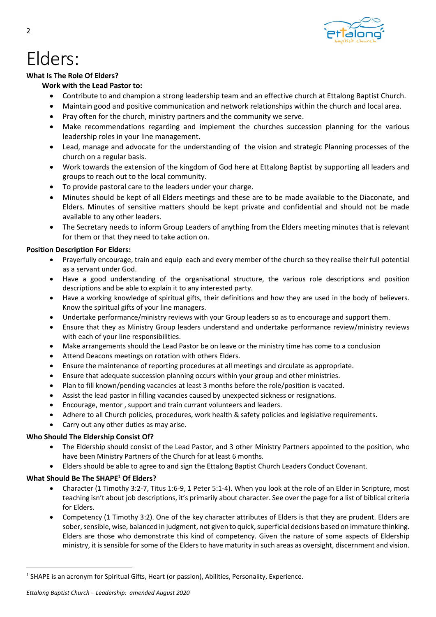

## Elders:

#### **What Is The Role Of Elders?**

#### **Work with the Lead Pastor to:**

- Contribute to and champion a strong leadership team and an effective church at Ettalong Baptist Church.
- Maintain good and positive communication and network relationships within the church and local area.
- Pray often for the church, ministry partners and the community we serve.
- Make recommendations regarding and implement the churches succession planning for the various leadership roles in your line management.
- Lead, manage and advocate for the understanding of the vision and strategic Planning processes of the church on a regular basis.
- Work towards the extension of the kingdom of God here at Ettalong Baptist by supporting all leaders and groups to reach out to the local community.
- To provide pastoral care to the leaders under your charge.
- Minutes should be kept of all Elders meetings and these are to be made available to the Diaconate, and Elders. Minutes of sensitive matters should be kept private and confidential and should not be made available to any other leaders.
- The Secretary needs to inform Group Leaders of anything from the Elders meeting minutes that is relevant for them or that they need to take action on.

#### **Position Description For Elders:**

- Prayerfully encourage, train and equip each and every member of the church so they realise their full potential as a servant under God.
- Have a good understanding of the organisational structure, the various role descriptions and position descriptions and be able to explain it to any interested party.
- Have a working knowledge of spiritual gifts, their definitions and how they are used in the body of believers. Know the spiritual gifts of your line managers.
- Undertake performance/ministry reviews with your Group leaders so as to encourage and support them.
- Ensure that they as Ministry Group leaders understand and undertake performance review/ministry reviews with each of your line responsibilities.
- Make arrangements should the Lead Pastor be on leave or the ministry time has come to a conclusion
- Attend Deacons meetings on rotation with others Elders.
- Ensure the maintenance of reporting procedures at all meetings and circulate as appropriate.
- Ensure that adequate succession planning occurs within your group and other ministries.
- Plan to fill known/pending vacancies at least 3 months before the role/position is vacated.
- Assist the lead pastor in filling vacancies caused by unexpected sickness or resignations.
- Encourage, mentor , support and train currant volunteers and leaders.
- Adhere to all Church policies, procedures, work health & safety policies and legislative requirements.
- Carry out any other duties as may arise.

### **Who Should The Eldership Consist Of?**

- The Eldership should consist of the Lead Pastor, and 3 other Ministry Partners appointed to the position, who have been Ministry Partners of the Church for at least 6 months.
- Elders should be able to agree to and sign the Ettalong Baptist Church Leaders Conduct Covenant.

### **What Should Be The SHAPE**<sup>1</sup>  **Of Elders?**

- Character (1 Timothy 3:2-7, Titus 1:6-9, 1 Peter 5:1-4). When you look at the role of an Elder in Scripture, most teaching isn't about job descriptions, it's primarily about character. See over the page for a list of biblical criteria for Elders.
- Competency (1 Timothy 3:2). One of the key character attributes of Elders is that they are prudent. Elders are sober, sensible, wise, balanced in judgment, not given to quick, superficial decisions based on immature thinking. Elders are those who demonstrate this kind of competency. Given the nature of some aspects of Eldership ministry, it is sensible for some of the Elders to have maturity in such areas as oversight, discernment and vision.

<sup>&</sup>lt;sup>1</sup> SHAPE is an acronym for Spiritual Gifts, Heart (or passion), Abilities, Personality, Experience.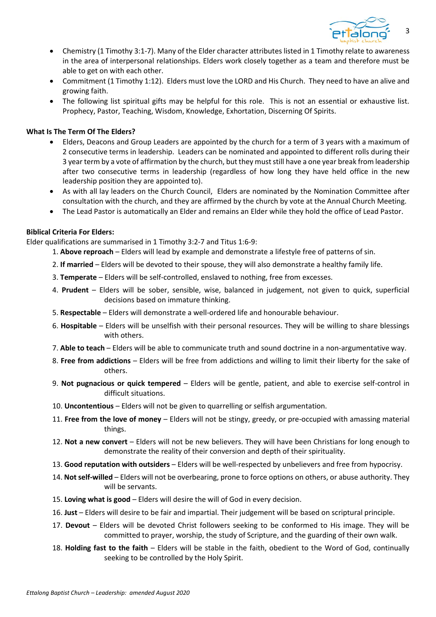

- Chemistry (1 Timothy 3:1-7). Many of the Elder character attributes listed in 1 Timothy relate to awareness in the area of interpersonal relationships. Elders work closely together as a team and therefore must be able to get on with each other.
- Commitment (1 Timothy 1:12). Elders must love the LORD and His Church. They need to have an alive and growing faith.
- The following list spiritual gifts may be helpful for this role. This is not an essential or exhaustive list. Prophecy, Pastor, Teaching, Wisdom, Knowledge, Exhortation, Discerning Of Spirits.

#### **What Is The Term Of The Elders?**

- Elders, Deacons and Group Leaders are appointed by the church for a term of 3 years with a maximum of 2 consecutive terms in leadership. Leaders can be nominated and appointed to different rolls during their 3 year term by a vote of affirmation by the church, but they must still have a one year break from leadership after two consecutive terms in leadership (regardless of how long they have held office in the new leadership position they are appointed to).
- As with all lay leaders on the Church Council, Elders are nominated by the Nomination Committee after consultation with the church, and they are affirmed by the church by vote at the Annual Church Meeting.
- The Lead Pastor is automatically an Elder and remains an Elder while they hold the office of Lead Pastor.

#### **Biblical Criteria For Elders:**

Elder qualifications are summarised in 1 Timothy 3:2-7 and Titus 1:6-9:

- 1. **Above reproach**  Elders will lead by example and demonstrate a lifestyle free of patterns of sin.
	- 2. **If married**  Elders will be devoted to their spouse, they will also demonstrate a healthy family life.
	- 3. **Temperate**  Elders will be self-controlled, enslaved to nothing, free from excesses.
	- 4. **Prudent**  Elders will be sober, sensible, wise, balanced in judgement, not given to quick, superficial decisions based on immature thinking.
	- 5. **Respectable**  Elders will demonstrate a well-ordered life and honourable behaviour.
	- 6. **Hospitable**  Elders will be unselfish with their personal resources. They will be willing to share blessings with others.
	- 7. **Able to teach**  Elders will be able to communicate truth and sound doctrine in a non-argumentative way.
	- 8. **Free from addictions**  Elders will be free from addictions and willing to limit their liberty for the sake of others.
- 9. **Not pugnacious or quick tempered**  Elders will be gentle, patient, and able to exercise self-control in difficult situations.
- 10. **Uncontentious**  Elders will not be given to quarrelling or selfish argumentation.
- 11. **Free from the love of money**  Elders will not be stingy, greedy, or pre-occupied with amassing material things.
- 12. **Not a new convert**  Elders will not be new believers. They will have been Christians for long enough to demonstrate the reality of their conversion and depth of their spirituality.
- 13. **Good reputation with outsiders**  Elders will be well-respected by unbelievers and free from hypocrisy.
- 14. **Not self-willed**  Elders will not be overbearing, prone to force options on others, or abuse authority. They will be servants.
- 15. **Loving what is good**  Elders will desire the will of God in every decision.
- 16. **Just**  Elders will desire to be fair and impartial. Their judgement will be based on scriptural principle.
- 17. **Devout**  Elders will be devoted Christ followers seeking to be conformed to His image. They will be committed to prayer, worship, the study of Scripture, and the guarding of their own walk.
- 18. **Holding fast to the faith**  Elders will be stable in the faith, obedient to the Word of God, continually seeking to be controlled by the Holy Spirit.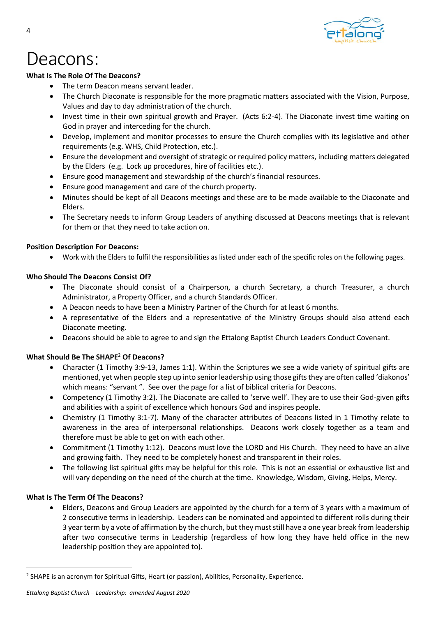

### Deacons:

#### **What Is The Role Of The Deacons?**

- The term Deacon means servant leader.
- The Church Diaconate is responsible for the more pragmatic matters associated with the Vision, Purpose, Values and day to day administration of the church.
- Invest time in their own spiritual growth and Prayer. (Acts 6:2-4). The Diaconate invest time waiting on God in prayer and interceding for the church.
- Develop, implement and monitor processes to ensure the Church complies with its legislative and other requirements (e.g. WHS, Child Protection, etc.).
- Ensure the development and oversight of strategic or required policy matters, including matters delegated by the Elders (e.g. Lock up procedures, hire of facilities etc.).
- Ensure good management and stewardship of the church's financial resources.
- Ensure good management and care of the church property.
- Minutes should be kept of all Deacons meetings and these are to be made available to the Diaconate and Elders.
- The Secretary needs to inform Group Leaders of anything discussed at Deacons meetings that is relevant for them or that they need to take action on.

#### **Position Description For Deacons:**

• Work with the Elders to fulfil the responsibilities as listed under each of the specific roles on the following pages.

#### **Who Should The Deacons Consist Of?**

- The Diaconate should consist of a Chairperson, a church Secretary, a church Treasurer, a church Administrator, a Property Officer, and a church Standards Officer.
- A Deacon needs to have been a Ministry Partner of the Church for at least 6 months.
- A representative of the Elders and a representative of the Ministry Groups should also attend each Diaconate meeting.
- Deacons should be able to agree to and sign the Ettalong Baptist Church Leaders Conduct Covenant.

#### **What Should Be The SHAPE**<sup>2</sup>  **Of Deacons?**

- Character (1 Timothy 3:9-13, James 1:1). Within the Scriptures we see a wide variety of spiritual gifts are mentioned, yet when people step up into senior leadership using those gifts they are often called 'diakonos' which means: "servant ". See over the page for a list of biblical criteria for Deacons.
- Competency (1 Timothy 3:2). The Diaconate are called to 'serve well'. They are to use their God-given gifts and abilities with a spirit of excellence which honours God and inspires people.
- Chemistry (1 Timothy 3:1-7). Many of the character attributes of Deacons listed in 1 Timothy relate to awareness in the area of interpersonal relationships. Deacons work closely together as a team and therefore must be able to get on with each other.
- Commitment (1 Timothy 1:12). Deacons must love the LORD and His Church. They need to have an alive and growing faith. They need to be completely honest and transparent in their roles.
- The following list spiritual gifts may be helpful for this role. This is not an essential or exhaustive list and will vary depending on the need of the church at the time. Knowledge, Wisdom, Giving, Helps, Mercy.

#### **What Is The Term Of The Deacons?**

• Elders, Deacons and Group Leaders are appointed by the church for a term of 3 years with a maximum of 2 consecutive terms in leadership. Leaders can be nominated and appointed to different rolls during their 3 year term by a vote of affirmation by the church, but they must still have a one year break from leadership after two consecutive terms in Leadership (regardless of how long they have held office in the new leadership position they are appointed to).

<sup>&</sup>lt;sup>2</sup> SHAPE is an acronym for Spiritual Gifts, Heart (or passion), Abilities, Personality, Experience.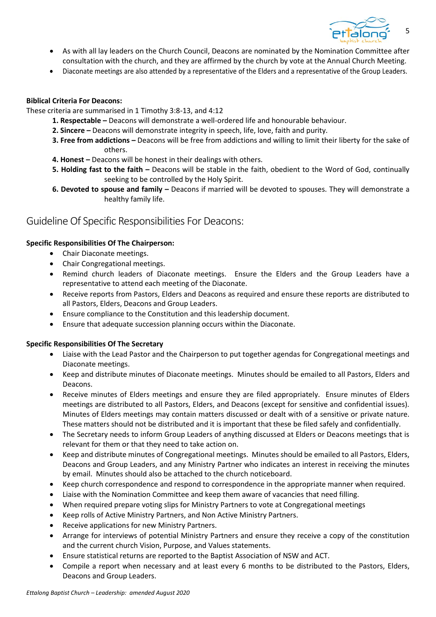

- As with all lay leaders on the Church Council, Deacons are nominated by the Nomination Committee after consultation with the church, and they are affirmed by the church by vote at the Annual Church Meeting.
- Diaconate meetings are also attended by a representative of the Elders and a representative of the Group Leaders.

#### **Biblical Criteria For Deacons:**

These criteria are summarised in 1 Timothy 3:8-13, and 4:12

- **1. Respectable –** Deacons will demonstrate a well-ordered life and honourable behaviour.
- **2. Sincere –** Deacons will demonstrate integrity in speech, life, love, faith and purity.
- **3. Free from addictions –** Deacons will be free from addictions and willing to limit their liberty for the sake of others.
- **4. Honest –** Deacons will be honest in their dealings with others.
- **5. Holding fast to the faith –** Deacons will be stable in the faith, obedient to the Word of God, continually seeking to be controlled by the Holy Spirit.
- **6. Devoted to spouse and family -** Deacons if married will be devoted to spouses. They will demonstrate a healthy family life.

### Guideline Of Specific Responsibilities For Deacons:

#### **Specific Responsibilities Of The Chairperson:**

- Chair Diaconate meetings.
- Chair Congregational meetings.
- Remind church leaders of Diaconate meetings. Ensure the Elders and the Group Leaders have a representative to attend each meeting of the Diaconate.
- Receive reports from Pastors, Elders and Deacons as required and ensure these reports are distributed to all Pastors, Elders, Deacons and Group Leaders.
- Ensure compliance to the Constitution and this leadership document.
- Ensure that adequate succession planning occurs within the Diaconate.

#### **Specific Responsibilities Of The Secretary**

- Liaise with the Lead Pastor and the Chairperson to put together agendas for Congregational meetings and Diaconate meetings.
- Keep and distribute minutes of Diaconate meetings. Minutes should be emailed to all Pastors, Elders and Deacons.
- Receive minutes of Elders meetings and ensure they are filed appropriately. Ensure minutes of Elders meetings are distributed to all Pastors, Elders, and Deacons (except for sensitive and confidential issues). Minutes of Elders meetings may contain matters discussed or dealt with of a sensitive or private nature. These matters should not be distributed and it is important that these be filed safely and confidentially.
- The Secretary needs to inform Group Leaders of anything discussed at Elders or Deacons meetings that is relevant for them or that they need to take action on.
- Keep and distribute minutes of Congregational meetings. Minutes should be emailed to all Pastors, Elders, Deacons and Group Leaders, and any Ministry Partner who indicates an interest in receiving the minutes by email. Minutes should also be attached to the church noticeboard.
- Keep church correspondence and respond to correspondence in the appropriate manner when required.
- Liaise with the Nomination Committee and keep them aware of vacancies that need filling.
- When required prepare voting slips for Ministry Partners to vote at Congregational meetings
- Keep rolls of Active Ministry Partners, and Non Active Ministry Partners.
- Receive applications for new Ministry Partners.
- Arrange for interviews of potential Ministry Partners and ensure they receive a copy of the constitution and the current church Vision, Purpose, and Values statements.
- Ensure statistical returns are reported to the Baptist Association of NSW and ACT.
- Compile a report when necessary and at least every 6 months to be distributed to the Pastors, Elders, Deacons and Group Leaders.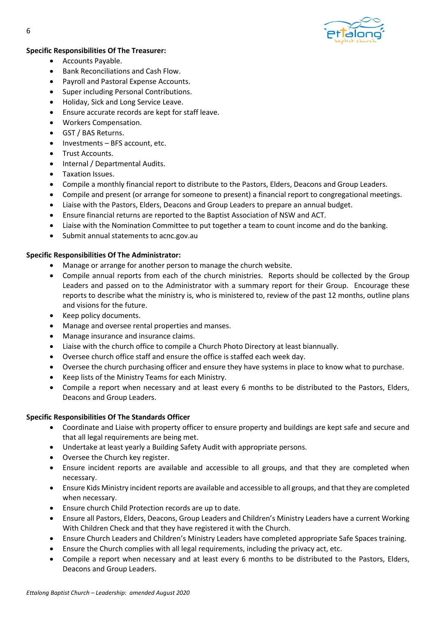

#### **Specific Responsibilities Of The Treasurer:**

- Accounts Payable.
- Bank Reconciliations and Cash Flow.
- Payroll and Pastoral Expense Accounts.
- Super including Personal Contributions.
- Holiday, Sick and Long Service Leave.
- Ensure accurate records are kept for staff leave.
- Workers Compensation.
- GST / BAS Returns.
- Investments BFS account, etc.
- Trust Accounts.
- Internal / Departmental Audits.
- Taxation Issues.
- Compile a monthly financial report to distribute to the Pastors, Elders, Deacons and Group Leaders.
- Compile and present (or arrange for someone to present) a financial report to congregational meetings.
- Liaise with the Pastors, Elders, Deacons and Group Leaders to prepare an annual budget.
- Ensure financial returns are reported to the Baptist Association of NSW and ACT.
- Liaise with the Nomination Committee to put together a team to count income and do the banking.
- Submit annual statements to acnc.gov.au

#### **Specific Responsibilities Of The Administrator:**

- Manage or arrange for another person to manage the church website.
- Compile annual reports from each of the church ministries. Reports should be collected by the Group Leaders and passed on to the Administrator with a summary report for their Group. Encourage these reports to describe what the ministry is, who is ministered to, review of the past 12 months, outline plans and visions for the future.
- Keep policy documents.
- Manage and oversee rental properties and manses.
- Manage insurance and insurance claims.
- Liaise with the church office to compile a Church Photo Directory at least biannually.
- Oversee church office staff and ensure the office is staffed each week day.
- Oversee the church purchasing officer and ensure they have systems in place to know what to purchase.
- Keep lists of the Ministry Teams for each Ministry.
- Compile a report when necessary and at least every 6 months to be distributed to the Pastors, Elders, Deacons and Group Leaders.

#### **Specific Responsibilities Of The Standards Officer**

- Coordinate and Liaise with property officer to ensure property and buildings are kept safe and secure and that all legal requirements are being met.
- Undertake at least yearly a Building Safety Audit with appropriate persons.
- Oversee the Church key register.
- Ensure incident reports are available and accessible to all groups, and that they are completed when necessary.
- Ensure Kids Ministry incident reports are available and accessible to all groups, and that they are completed when necessary.
- Ensure church Child Protection records are up to date.
- Ensure all Pastors, Elders, Deacons, Group Leaders and Children's Ministry Leaders have a current Working With Children Check and that they have registered it with the Church.
- Ensure Church Leaders and Children's Ministry Leaders have completed appropriate Safe Spaces training.
- Ensure the Church complies with all legal requirements, including the privacy act, etc.
- Compile a report when necessary and at least every 6 months to be distributed to the Pastors, Elders, Deacons and Group Leaders.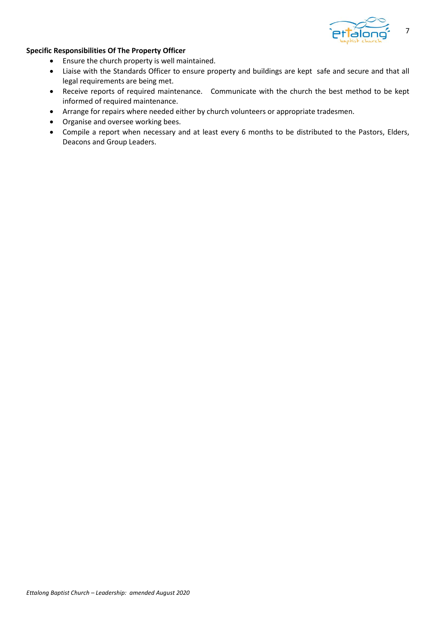

#### **Specific Responsibilities Of The Property Officer**

- Ensure the church property is well maintained.
- Liaise with the Standards Officer to ensure property and buildings are kept safe and secure and that all legal requirements are being met.
- Receive reports of required maintenance. Communicate with the church the best method to be kept informed of required maintenance.
- Arrange for repairs where needed either by church volunteers or appropriate tradesmen.
- Organise and oversee working bees.
- Compile a report when necessary and at least every 6 months to be distributed to the Pastors, Elders, Deacons and Group Leaders.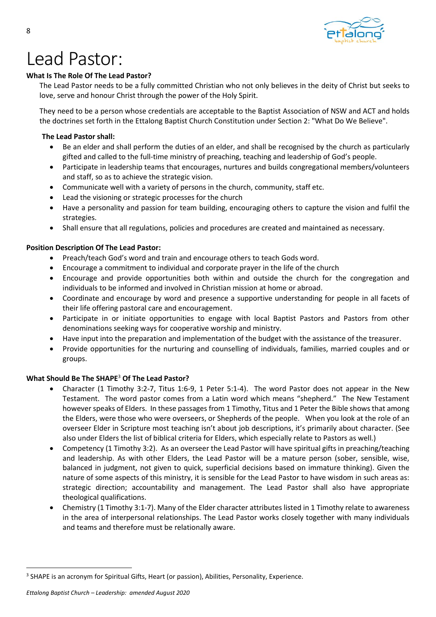

## Lead Pastor:

#### **What Is The Role Of The Lead Pastor?**

The Lead Pastor needs to be a fully committed Christian who not only believes in the deity of Christ but seeks to love, serve and honour Christ through the power of the Holy Spirit.

They need to be a person whose credentials are acceptable to the Baptist Association of NSW and ACT and holds the doctrines set forth in the Ettalong Baptist Church Constitution under Section 2: "What Do We Believe".

#### **The Lead Pastor shall:**

- Be an elder and shall perform the duties of an elder, and shall be recognised by the church as particularly gifted and called to the full-time ministry of preaching, teaching and leadership of God's people.
- Participate in leadership teams that encourages, nurtures and builds congregational members/volunteers and staff, so as to achieve the strategic vision.
- Communicate well with a variety of persons in the church, community, staff etc.
- Lead the visioning or strategic processes for the church
- Have a personality and passion for team building, encouraging others to capture the vision and fulfil the strategies.
- Shall ensure that all regulations, policies and procedures are created and maintained as necessary.

#### **Position Description Of The Lead Pastor:**

- Preach/teach God's word and train and encourage others to teach Gods word.
- Encourage a commitment to individual and corporate prayer in the life of the church
- Encourage and provide opportunities both within and outside the church for the congregation and individuals to be informed and involved in Christian mission at home or abroad.
- Coordinate and encourage by word and presence a supportive understanding for people in all facets of their life offering pastoral care and encouragement.
- Participate in or initiate opportunities to engage with local Baptist Pastors and Pastors from other denominations seeking ways for cooperative worship and ministry.
- Have input into the preparation and implementation of the budget with the assistance of the treasurer.
- Provide opportunities for the nurturing and counselling of individuals, families, married couples and or groups.

#### **What Should Be The SHAPE**<sup>3</sup>  **Of The Lead Pastor?**

- Character (1 Timothy 3:2-7, Titus 1:6-9, 1 Peter 5:1-4). The word Pastor does not appear in the New Testament. The word pastor comes from a Latin word which means "shepherd." The New Testament however speaks of Elders. In these passages from 1 Timothy, Titus and 1 Peter the Bible shows that among the Elders, were those who were overseers, or Shepherds of the people. When you look at the role of an overseer Elder in Scripture most teaching isn't about job descriptions, it's primarily about character. (See also under Elders the list of biblical criteria for Elders, which especially relate to Pastors as well.)
- Competency (1 Timothy 3:2). As an overseer the Lead Pastor will have spiritual gifts in preaching/teaching and leadership. As with other Elders, the Lead Pastor will be a mature person (sober, sensible, wise, balanced in judgment, not given to quick, superficial decisions based on immature thinking). Given the nature of some aspects of this ministry, it is sensible for the Lead Pastor to have wisdom in such areas as: strategic direction; accountability and management. The Lead Pastor shall also have appropriate theological qualifications.
- Chemistry (1 Timothy 3:1-7). Many of the Elder character attributes listed in 1 Timothy relate to awareness in the area of interpersonal relationships. The Lead Pastor works closely together with many individuals and teams and therefore must be relationally aware.

<sup>&</sup>lt;sup>3</sup> SHAPE is an acronym for Spiritual Gifts, Heart (or passion), Abilities, Personality, Experience.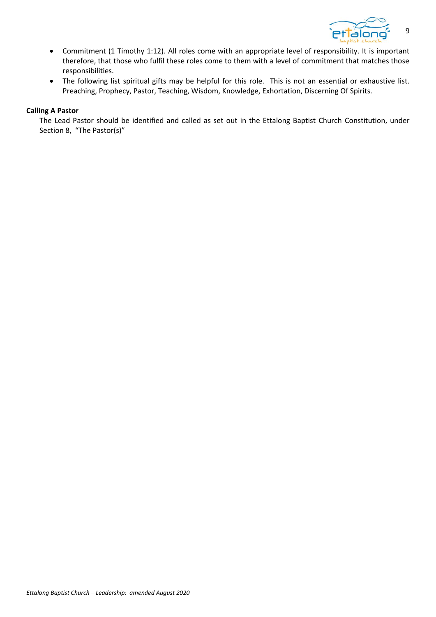

- Commitment (1 Timothy 1:12). All roles come with an appropriate level of responsibility. It is important therefore, that those who fulfil these roles come to them with a level of commitment that matches those responsibilities.
- The following list spiritual gifts may be helpful for this role. This is not an essential or exhaustive list. Preaching, Prophecy, Pastor, Teaching, Wisdom, Knowledge, Exhortation, Discerning Of Spirits.

#### **Calling A Pastor**

The Lead Pastor should be identified and called as set out in the Ettalong Baptist Church Constitution, under Section 8, "The Pastor(s)"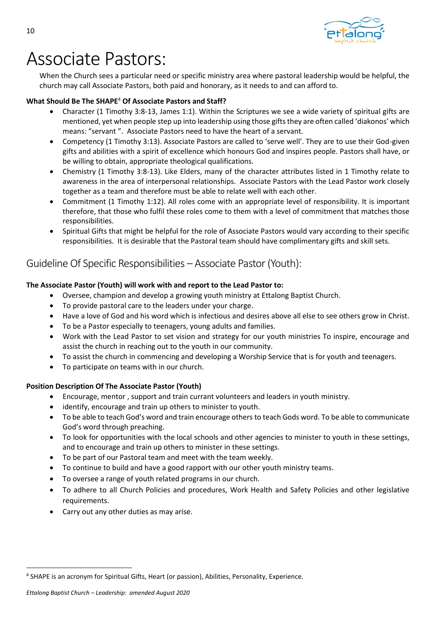

### Associate Pastors:

When the Church sees a particular need or specific ministry area where pastoral leadership would be helpful, the church may call Associate Pastors, both paid and honorary, as it needs to and can afford to.

#### **What Should Be The SHAPE**<sup>4</sup>  **Of Associate Pastors and Staff?**

- Character (1 Timothy 3:8-13, James 1:1). Within the Scriptures we see a wide variety of spiritual gifts are mentioned, yet when people step up into leadership using those gifts they are often called 'diakonos' which means: "servant ". Associate Pastors need to have the heart of a servant.
- Competency (1 Timothy 3:13). Associate Pastors are called to 'serve well'. They are to use their God-given gifts and abilities with a spirit of excellence which honours God and inspires people. Pastors shall have, or be willing to obtain, appropriate theological qualifications.
- Chemistry (1 Timothy 3:8-13). Like Elders, many of the character attributes listed in 1 Timothy relate to awareness in the area of interpersonal relationships. Associate Pastors with the Lead Pastor work closely together as a team and therefore must be able to relate well with each other.
- Commitment (1 Timothy 1:12). All roles come with an appropriate level of responsibility. It is important therefore, that those who fulfil these roles come to them with a level of commitment that matches those responsibilities.
- Spiritual Gifts that might be helpful for the role of Associate Pastors would vary according to their specific responsibilities. It is desirable that the Pastoral team should have complimentary gifts and skill sets.

### Guideline Of Specific Responsibilities – Associate Pastor (Youth):

#### **The Associate Pastor (Youth) will work with and report to the Lead Pastor to:**

- Oversee, champion and develop a growing youth ministry at Ettalong Baptist Church.
- To provide pastoral care to the leaders under your charge.
- Have a love of God and his word which is infectious and desires above all else to see others grow in Christ.
- To be a Pastor especially to teenagers, young adults and families.
- Work with the Lead Pastor to set vision and strategy for our youth ministries To inspire, encourage and assist the church in reaching out to the youth in our community.
- To assist the church in commencing and developing a Worship Service that is for youth and teenagers.
- To participate on teams with in our church.

#### **Position Description Of The Associate Pastor (Youth)**

- Encourage, mentor , support and train currant volunteers and leaders in youth ministry.
- identify, encourage and train up others to minister to youth.
- To be able to teach God's word and train encourage others to teach Gods word. To be able to communicate God's word through preaching.
- To look for opportunities with the local schools and other agencies to minister to youth in these settings, and to encourage and train up others to minister in these settings.
- To be part of our Pastoral team and meet with the team weekly.
- To continue to build and have a good rapport with our other youth ministry teams.
- To oversee a range of youth related programs in our church.
- To adhere to all Church Policies and procedures, Work Health and Safety Policies and other legislative requirements.
- Carry out any other duties as may arise.

<sup>4</sup> SHAPE is an acronym for Spiritual Gifts, Heart (or passion), Abilities, Personality, Experience.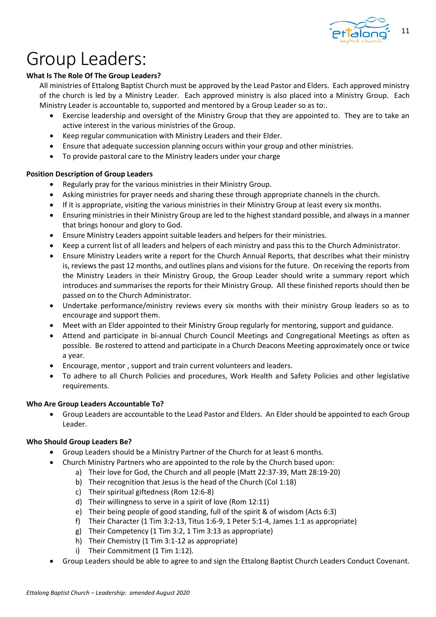

### Group Leaders:

#### **What Is The Role Of The Group Leaders?**

All ministries of Ettalong Baptist Church must be approved by the Lead Pastor and Elders. Each approved ministry of the church is led by a Ministry Leader. Each approved ministry is also placed into a Ministry Group. Each Ministry Leader is accountable to, supported and mentored by a Group Leader so as to:.

- Exercise leadership and oversight of the Ministry Group that they are appointed to. They are to take an active interest in the various ministries of the Group.
- Keep regular communication with Ministry Leaders and their Elder.
- Ensure that adequate succession planning occurs within your group and other ministries.
- To provide pastoral care to the Ministry leaders under your charge

#### **Position Description of Group Leaders**

- Regularly pray for the various ministries in their Ministry Group.
- Asking ministries for prayer needs and sharing these through appropriate channels in the church.
- If it is appropriate, visiting the various ministries in their Ministry Group at least every six months.
- Ensuring ministries in their Ministry Group are led to the highest standard possible, and always in a manner that brings honour and glory to God.
- Ensure Ministry Leaders appoint suitable leaders and helpers for their ministries.
- Keep a current list of all leaders and helpers of each ministry and pass this to the Church Administrator.
- Ensure Ministry Leaders write a report for the Church Annual Reports, that describes what their ministry is, reviews the past 12 months, and outlines plans and visions for the future. On receiving the reports from the Ministry Leaders in their Ministry Group, the Group Leader should write a summary report which introduces and summarises the reports for their Ministry Group. All these finished reports should then be passed on to the Church Administrator.
- Undertake performance/ministry reviews every six months with their ministry Group leaders so as to encourage and support them.
- Meet with an Elder appointed to their Ministry Group regularly for mentoring, support and guidance.
- Attend and participate in bi-annual Church Council Meetings and Congregational Meetings as often as possible. Be rostered to attend and participate in a Church Deacons Meeting approximately once or twice a year.
- Encourage, mentor , support and train current volunteers and leaders.
- To adhere to all Church Policies and procedures, Work Health and Safety Policies and other legislative requirements.

#### **Who Are Group Leaders Accountable To?**

• Group Leaders are accountable to the Lead Pastor and Elders. An Elder should be appointed to each Group Leader.

#### **Who Should Group Leaders Be?**

- Group Leaders should be a Ministry Partner of the Church for at least 6 months.
- Church Ministry Partners who are appointed to the role by the Church based upon:
	- a) Their love for God, the Church and all people (Matt 22:37-39, Matt 28:19-20)
		- b) Their recognition that Jesus is the head of the Church (Col 1:18)
		- c) Their spiritual giftedness (Rom 12:6-8)
		- d) Their willingness to serve in a spirit of love (Rom 12:11)
		- e) Their being people of good standing, full of the spirit & of wisdom (Acts 6:3)
		- f) Their Character (1 Tim 3:2-13, Titus 1:6-9, 1 Peter 5:1-4, James 1:1 as appropriate)
	- g) Their Competency (1 Tim 3:2, 1 Tim 3:13 as appropriate)
	- h) Their Chemistry (1 Tim 3:1-12 as appropriate)
	- i) Their Commitment (1 Tim 1:12).
- Group Leaders should be able to agree to and sign the Ettalong Baptist Church Leaders Conduct Covenant.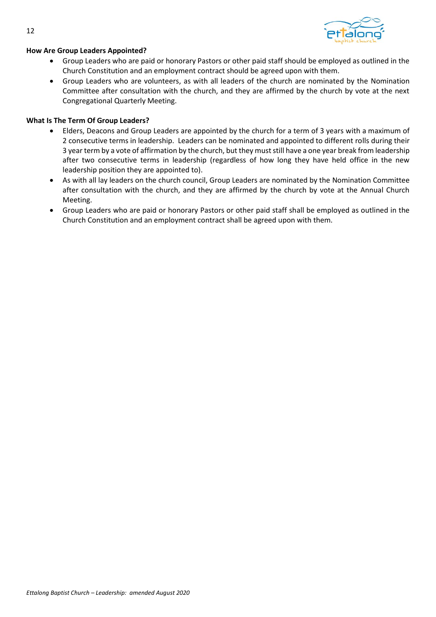

#### **How Are Group Leaders Appointed?**

- Group Leaders who are paid or honorary Pastors or other paid staff should be employed as outlined in the Church Constitution and an employment contract should be agreed upon with them.
- Group Leaders who are volunteers, as with all leaders of the church are nominated by the Nomination Committee after consultation with the church, and they are affirmed by the church by vote at the next Congregational Quarterly Meeting.

#### **What Is The Term Of Group Leaders?**

- Elders, Deacons and Group Leaders are appointed by the church for a term of 3 years with a maximum of 2 consecutive terms in leadership. Leaders can be nominated and appointed to different rolls during their 3 year term by a vote of affirmation by the church, but they must still have a one year break from leadership after two consecutive terms in leadership (regardless of how long they have held office in the new leadership position they are appointed to).
- As with all lay leaders on the church council, Group Leaders are nominated by the Nomination Committee after consultation with the church, and they are affirmed by the church by vote at the Annual Church Meeting.
- Group Leaders who are paid or honorary Pastors or other paid staff shall be employed as outlined in the Church Constitution and an employment contract shall be agreed upon with them.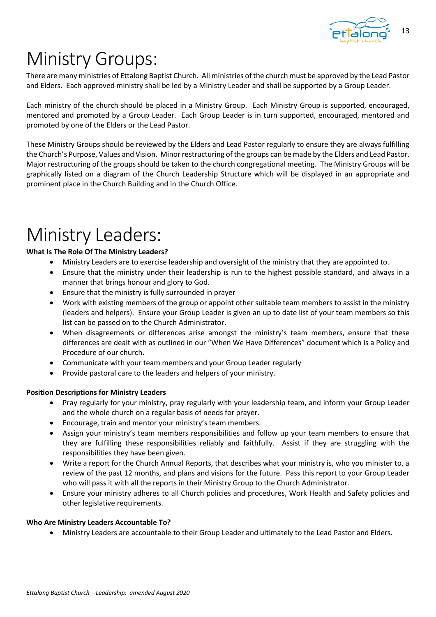

# Ministry Groups:

There are many ministries of Ettalong Baptist Church. All ministries of the church must be approved by the Lead Pastor and Elders. Each approved ministry shall be led by a Ministry Leader and shall be supported by a Group Leader.

Each ministry of the church should be placed in a Ministry Group. Each Ministry Group is supported, encouraged, mentored and promoted by a Group Leader. Each Group Leader is in turn supported, encouraged, mentored and promoted by one of the Elders or the Lead Pastor.

These Ministry Groups should be reviewed by the Elders and Lead Pastor regularly to ensure they are always fulfilling the Church's Purpose, Values and Vision. Minor restructuring of the groups can be made by the Elders and Lead Pastor. Major restructuring of the groups should be taken to the church congregational meeting. The Ministry Groups will be graphically listed on a diagram of the Church Leadership Structure which will be displayed in an appropriate and prominent place in the Church Building and in the Church Office.

# Ministry Leaders:

#### **What Is The Role Of The Ministry Leaders?**

- Ministry Leaders are to exercise leadership and oversight of the ministry that they are appointed to.
- Ensure that the ministry under their leadership is run to the highest possible standard, and always in a manner that brings honour and glory to God.
- Ensure that the ministry is fully surrounded in prayer
- Work with existing members of the group or appoint other suitable team members to assist in the ministry (leaders and helpers). Ensure your Group Leader is given an up to date list of your team members so this list can be passed on to the Church Administrator.
- When disagreements or differences arise amongst the ministry's team members, ensure that these differences are dealt with as outlined in our "When We Have Differences" document which is a Policy and Procedure of our church.
- Communicate with your team members and your Group Leader regularly
- Provide pastoral care to the leaders and helpers of your ministry.

#### **Position Descriptions for Ministry Leaders**

- Pray regularly for your ministry, pray regularly with your leadership team, and inform your Group Leader and the whole church on a regular basis of needs for prayer.
- Encourage, train and mentor your ministry's team members.
- Assign your ministry's team members responsibilities and follow up your team members to ensure that they are fulfilling these responsibilities reliably and faithfully. Assist if they are struggling with the responsibilities they have been given.
- Write a report for the Church Annual Reports, that describes what your ministry is, who you minister to, a review of the past 12 months, and plans and visions for the future. Pass this report to your Group Leader who will pass it with all the reports in their Ministry Group to the Church Administrator.
- Ensure your ministry adheres to all Church policies and procedures, Work Health and Safety policies and other legislative requirements.

#### **Who Are Ministry Leaders Accountable To?**

• Ministry Leaders are accountable to their Group Leader and ultimately to the Lead Pastor and Elders.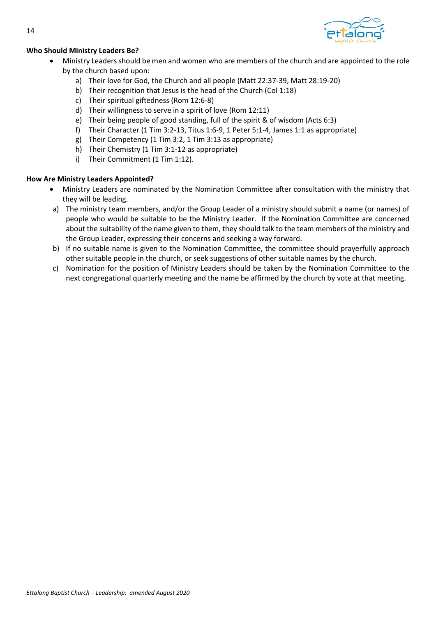

#### **Who Should Ministry Leaders Be?**

- Ministry Leaders should be men and women who are members of the church and are appointed to the role by the church based upon:
	- a) Their love for God, the Church and all people (Matt 22:37-39, Matt 28:19-20)
	- b) Their recognition that Jesus is the head of the Church (Col 1:18)
	- c) Their spiritual giftedness (Rom 12:6-8)
	- d) Their willingness to serve in a spirit of love (Rom 12:11)
	- e) Their being people of good standing, full of the spirit & of wisdom (Acts 6:3)
	- f) Their Character (1 Tim 3:2-13, Titus 1:6-9, 1 Peter 5:1-4, James 1:1 as appropriate)
	- g) Their Competency (1 Tim 3:2, 1 Tim 3:13 as appropriate)
	- h) Their Chemistry (1 Tim 3:1-12 as appropriate)
	- i) Their Commitment (1 Tim 1:12).

#### **How Are Ministry Leaders Appointed?**

- Ministry Leaders are nominated by the Nomination Committee after consultation with the ministry that they will be leading.
- a) The ministry team members, and/or the Group Leader of a ministry should submit a name (or names) of people who would be suitable to be the Ministry Leader. If the Nomination Committee are concerned about the suitability of the name given to them, they should talk to the team members of the ministry and the Group Leader, expressing their concerns and seeking a way forward.
- b) If no suitable name is given to the Nomination Committee, the committee should prayerfully approach other suitable people in the church, or seek suggestions of other suitable names by the church.
- c) Nomination for the position of Ministry Leaders should be taken by the Nomination Committee to the next congregational quarterly meeting and the name be affirmed by the church by vote at that meeting.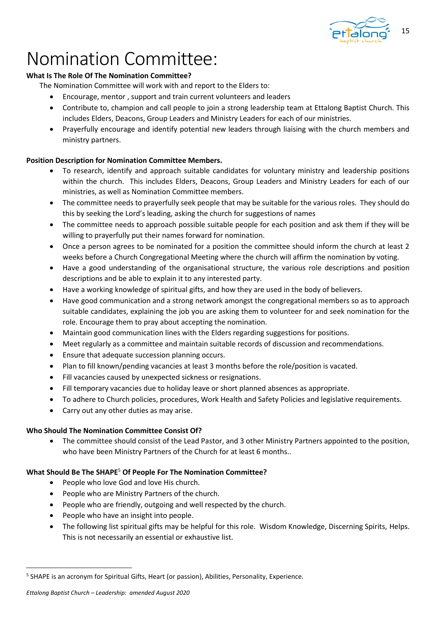

### Nomination Committee:

#### **What Is The Role Of The Nomination Committee?**

- The Nomination Committee will work with and report to the Elders to:
	- Encourage, mentor , support and train current volunteers and leaders
	- Contribute to, champion and call people to join a strong leadership team at Ettalong Baptist Church. This includes Elders, Deacons, Group Leaders and Ministry Leaders for each of our ministries.
	- Prayerfully encourage and identify potential new leaders through liaising with the church members and ministry partners.

#### **Position Description for Nomination Committee Members.**

- To research, identify and approach suitable candidates for voluntary ministry and leadership positions within the church. This includes Elders, Deacons, Group Leaders and Ministry Leaders for each of our ministries, as well as Nomination Committee members.
- The committee needs to prayerfully seek people that may be suitable for the various roles. They should do this by seeking the Lord's leading, asking the church for suggestions of names
- The committee needs to approach possible suitable people for each position and ask them if they will be willing to prayerfully put their names forward for nomination.
- Once a person agrees to be nominated for a position the committee should inform the church at least 2 weeks before a Church Congregational Meeting where the church will affirm the nomination by voting.
- Have a good understanding of the organisational structure, the various role descriptions and position descriptions and be able to explain it to any interested party.
- Have a working knowledge of spiritual gifts, and how they are used in the body of believers.
- Have good communication and a strong network amongst the congregational members so as to approach suitable candidates, explaining the job you are asking them to volunteer for and seek nomination for the role. Encourage them to pray about accepting the nomination.
- Maintain good communication lines with the Elders regarding suggestions for positions.
- Meet regularly as a committee and maintain suitable records of discussion and recommendations.
- Ensure that adequate succession planning occurs.
- Plan to fill known/pending vacancies at least 3 months before the role/position is vacated.
- Fill vacancies caused by unexpected sickness or resignations.
- Fill temporary vacancies due to holiday leave or short planned absences as appropriate.
- To adhere to Church policies, procedures, Work Health and Safety Policies and legislative requirements.
- Carry out any other duties as may arise.

#### **Who Should The Nomination Committee Consist Of?**

• The committee should consist of the Lead Pastor, and 3 other Ministry Partners appointed to the position, who have been Ministry Partners of the Church for at least 6 months..

#### **What Should Be The SHAPE**<sup>5</sup>  **Of People For The Nomination Committee?**

- People who love God and love His church.
- People who are Ministry Partners of the church.
- People who are friendly, outgoing and well respected by the church.
- People who have an insight into people.
- The following list spiritual gifts may be helpful for this role. Wisdom Knowledge, Discerning Spirits, Helps. This is not necessarily an essential or exhaustive list.

<sup>&</sup>lt;sup>5</sup> SHAPE is an acronym for Spiritual Gifts, Heart (or passion), Abilities, Personality, Experience.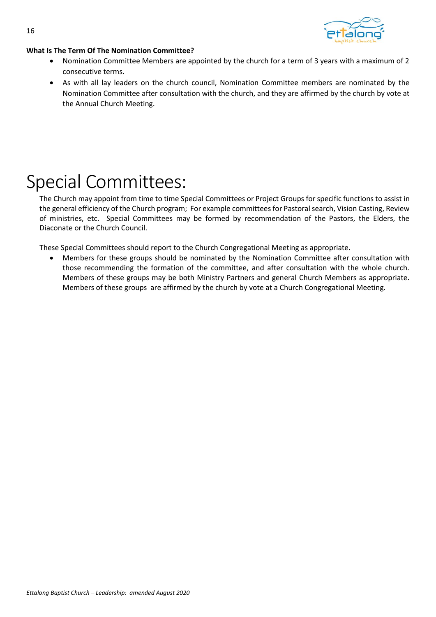



#### **What Is The Term Of The Nomination Committee?**

- Nomination Committee Members are appointed by the church for a term of 3 years with a maximum of 2 consecutive terms.
- As with all lay leaders on the church council, Nomination Committee members are nominated by the Nomination Committee after consultation with the church, and they are affirmed by the church by vote at the Annual Church Meeting.

# Special Committees:

The Church may appoint from time to time Special Committees or Project Groups for specific functions to assist in the general efficiency of the Church program; For example committees for Pastoral search, Vision Casting, Review of ministries, etc. Special Committees may be formed by recommendation of the Pastors, the Elders, the Diaconate or the Church Council.

These Special Committees should report to the Church Congregational Meeting as appropriate.

• Members for these groups should be nominated by the Nomination Committee after consultation with those recommending the formation of the committee, and after consultation with the whole church. Members of these groups may be both Ministry Partners and general Church Members as appropriate. Members of these groups are affirmed by the church by vote at a Church Congregational Meeting.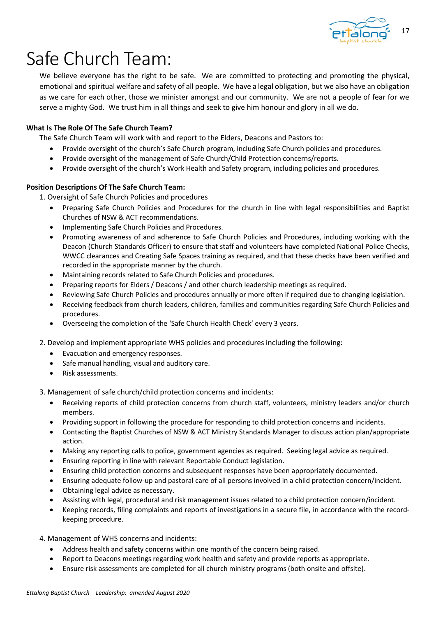

# Safe Church Team:

We believe everyone has the right to be safe. We are committed to protecting and promoting the physical, emotional and spiritual welfare and safety of all people. We have a legal obligation, but we also have an obligation as we care for each other, those we minister amongst and our community. We are not a people of fear for we serve a mighty God. We trust him in all things and seek to give him honour and glory in all we do.

#### **What Is The Role Of The Safe Church Team?**

The Safe Church Team will work with and report to the Elders, Deacons and Pastors to:

- Provide oversight of the church's Safe Church program, including Safe Church policies and procedures.
- Provide oversight of the management of Safe Church/Child Protection concerns/reports.
- Provide oversight of the church's Work Health and Safety program, including policies and procedures.

#### **Position Descriptions Of The Safe Church Team:**

- 1. Oversight of Safe Church Policies and procedures
	- Preparing Safe Church Policies and Procedures for the church in line with legal responsibilities and Baptist Churches of NSW & ACT recommendations.
	- Implementing Safe Church Policies and Procedures.
	- Promoting awareness of and adherence to Safe Church Policies and Procedures, including working with the Deacon (Church Standards Officer) to ensure that staff and volunteers have completed National Police Checks, WWCC clearances and Creating Safe Spaces training as required, and that these checks have been verified and recorded in the appropriate manner by the church.
	- Maintaining records related to Safe Church Policies and procedures.
	- Preparing reports for Elders / Deacons / and other church leadership meetings as required.
	- Reviewing Safe Church Policies and procedures annually or more often if required due to changing legislation.
	- Receiving feedback from church leaders, children, families and communities regarding Safe Church Policies and procedures.
	- Overseeing the completion of the 'Safe Church Health Check' every 3 years.
- 2. Develop and implement appropriate WHS policies and procedures including the following:
	- Evacuation and emergency responses.
	- Safe manual handling, visual and auditory care.
	- Risk assessments.

3. Management of safe church/child protection concerns and incidents:

- Receiving reports of child protection concerns from church staff, volunteers, ministry leaders and/or church members.
- Providing support in following the procedure for responding to child protection concerns and incidents.
- Contacting the Baptist Churches of NSW & ACT Ministry Standards Manager to discuss action plan/appropriate action.
- Making any reporting calls to police, government agencies as required. Seeking legal advice as required.
- Ensuring reporting in line with relevant Reportable Conduct legislation.
- Ensuring child protection concerns and subsequent responses have been appropriately documented.
- Ensuring adequate follow-up and pastoral care of all persons involved in a child protection concern/incident.
- Obtaining legal advice as necessary.
- Assisting with legal, procedural and risk management issues related to a child protection concern/incident.
- Keeping records, filing complaints and reports of investigations in a secure file, in accordance with the recordkeeping procedure.

4. Management of WHS concerns and incidents:

- Address health and safety concerns within one month of the concern being raised.
- Report to Deacons meetings regarding work health and safety and provide reports as appropriate.
- Ensure risk assessments are completed for all church ministry programs (both onsite and offsite).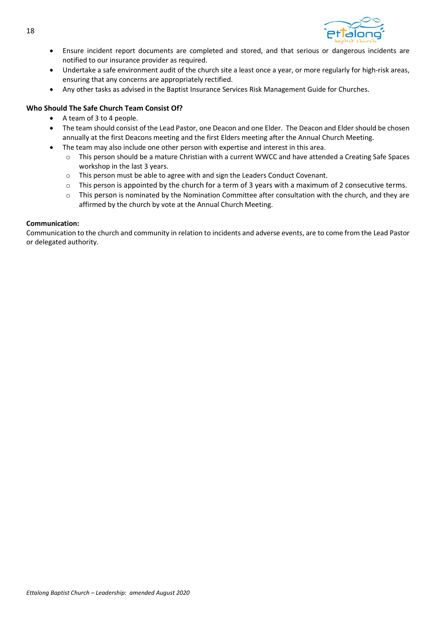

- Ensure incident report documents are completed and stored, and that serious or dangerous incidents are notified to our insurance provider as required.
- Undertake a safe environment audit of the church site a least once a year, or more regularly for high-risk areas, ensuring that any concerns are appropriately rectified.
- Any other tasks as advised in the Baptist Insurance Services Risk Management Guide for Churches.

#### **Who Should The Safe Church Team Consist Of?**

- A team of 3 to 4 people.
- The team should consist of the Lead Pastor, one Deacon and one Elder. The Deacon and Elder should be chosen annually at the first Deacons meeting and the first Elders meeting after the Annual Church Meeting.
- The team may also include one other person with expertise and interest in this area.
	- o This person should be a mature Christian with a current WWCC and have attended a Creating Safe Spaces workshop in the last 3 years.
	- o This person must be able to agree with and sign the Leaders Conduct Covenant.
	- o This person is appointed by the church for a term of 3 years with a maximum of 2 consecutive terms.
	- o This person is nominated by the Nomination Committee after consultation with the church, and they are affirmed by the church by vote at the Annual Church Meeting.

#### **Communication:**

Communication to the church and community in relation to incidents and adverse events, are to come from the Lead Pastor or delegated authority.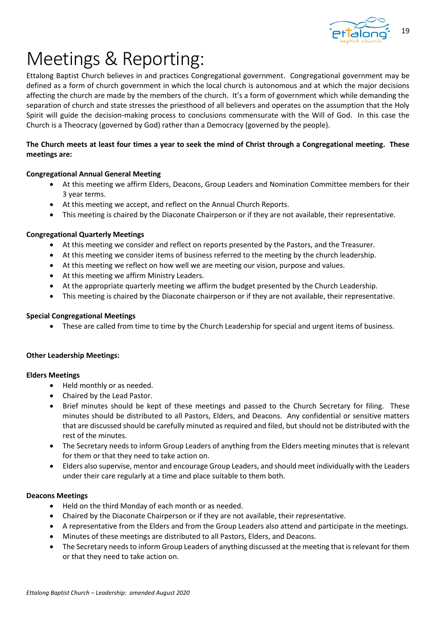

# Meetings & Reporting:

Ettalong Baptist Church believes in and practices Congregational government. Congregational government may be defined as a form of church government in which the local church is autonomous and at which the major decisions affecting the church are made by the members of the church. It's a form of government which while demanding the separation of church and state stresses the priesthood of all believers and operates on the assumption that the Holy Spirit will guide the decision-making process to conclusions commensurate with the Will of God. In this case the Church is a Theocracy (governed by God) rather than a Democracy (governed by the people).

#### **The Church meets at least four times a year to seek the mind of Christ through a Congregational meeting. These meetings are:**

#### **Congregational Annual General Meeting**

- At this meeting we affirm Elders, Deacons, Group Leaders and Nomination Committee members for their 3 year terms.
- At this meeting we accept, and reflect on the Annual Church Reports.
- This meeting is chaired by the Diaconate Chairperson or if they are not available, their representative.

#### **Congregational Quarterly Meetings**

- At this meeting we consider and reflect on reports presented by the Pastors, and the Treasurer.
- At this meeting we consider items of business referred to the meeting by the church leadership.
- At this meeting we reflect on how well we are meeting our vision, purpose and values.
- At this meeting we affirm Ministry Leaders.
- At the appropriate quarterly meeting we affirm the budget presented by the Church Leadership.
- This meeting is chaired by the Diaconate chairperson or if they are not available, their representative.

#### **Special Congregational Meetings**

• These are called from time to time by the Church Leadership for special and urgent items of business.

#### **Other Leadership Meetings:**

#### **Elders Meetings**

- Held monthly or as needed.
- Chaired by the Lead Pastor.
- Brief minutes should be kept of these meetings and passed to the Church Secretary for filing. These minutes should be distributed to all Pastors, Elders, and Deacons. Any confidential or sensitive matters that are discussed should be carefully minuted as required and filed, but should not be distributed with the rest of the minutes.
- The Secretary needs to inform Group Leaders of anything from the Elders meeting minutes that is relevant for them or that they need to take action on.
- Elders also supervise, mentor and encourage Group Leaders, and should meet individually with the Leaders under their care regularly at a time and place suitable to them both.

#### **Deacons Meetings**

- Held on the third Monday of each month or as needed.
- Chaired by the Diaconate Chairperson or if they are not available, their representative.
- A representative from the Elders and from the Group Leaders also attend and participate in the meetings.
- Minutes of these meetings are distributed to all Pastors, Elders, and Deacons.
- The Secretary needs to inform Group Leaders of anything discussed at the meeting that is relevant for them or that they need to take action on.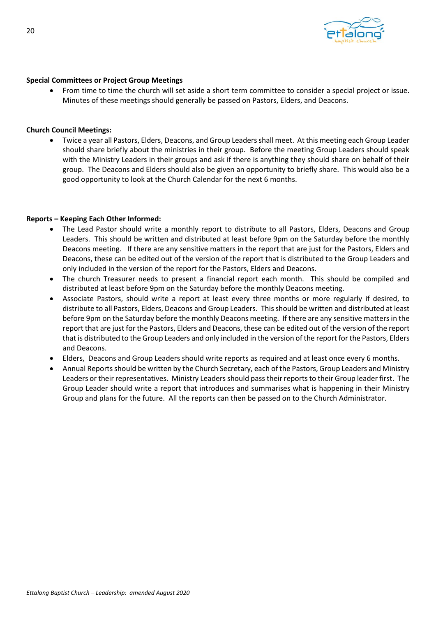

#### **Special Committees or Project Group Meetings**

• From time to time the church will set aside a short term committee to consider a special project or issue. Minutes of these meetings should generally be passed on Pastors, Elders, and Deacons.

#### **Church Council Meetings:**

• Twice a year all Pastors, Elders, Deacons, and Group Leaders shall meet. At this meeting each Group Leader should share briefly about the ministries in their group. Before the meeting Group Leaders should speak with the Ministry Leaders in their groups and ask if there is anything they should share on behalf of their group. The Deacons and Elders should also be given an opportunity to briefly share. This would also be a good opportunity to look at the Church Calendar for the next 6 months.

#### **Reports – Keeping Each Other Informed:**

- The Lead Pastor should write a monthly report to distribute to all Pastors, Elders, Deacons and Group Leaders. This should be written and distributed at least before 9pm on the Saturday before the monthly Deacons meeting. If there are any sensitive matters in the report that are just for the Pastors, Elders and Deacons, these can be edited out of the version of the report that is distributed to the Group Leaders and only included in the version of the report for the Pastors, Elders and Deacons.
- The church Treasurer needs to present a financial report each month. This should be compiled and distributed at least before 9pm on the Saturday before the monthly Deacons meeting.
- Associate Pastors, should write a report at least every three months or more regularly if desired, to distribute to all Pastors, Elders, Deacons and Group Leaders. This should be written and distributed at least before 9pm on the Saturday before the monthly Deacons meeting. If there are any sensitive matters in the report that are just for the Pastors, Elders and Deacons, these can be edited out of the version of the report that is distributed to the Group Leaders and only included in the version of the report for the Pastors, Elders and Deacons.
- Elders, Deacons and Group Leaders should write reports as required and at least once every 6 months.
- Annual Reports should be written by the Church Secretary, each of the Pastors, Group Leaders and Ministry Leaders or their representatives. Ministry Leaders should pass their reports to their Group leader first. The Group Leader should write a report that introduces and summarises what is happening in their Ministry Group and plans for the future. All the reports can then be passed on to the Church Administrator.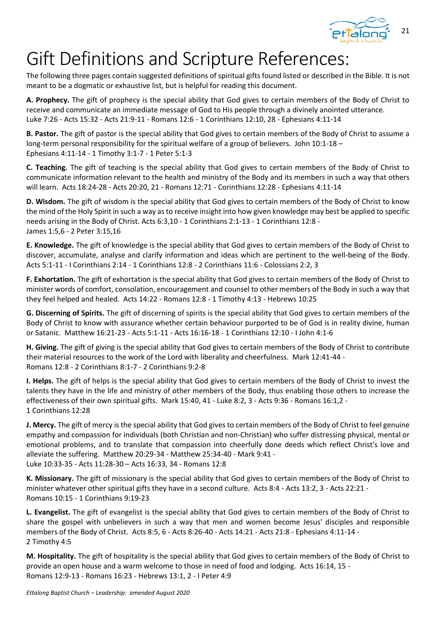

# Gift Definitions and Scripture References:

The following three pages contain suggested definitions of spiritual gifts found listed or described in the Bible. It is not meant to be a dogmatic or exhaustive list, but is helpful for reading this document.

**A. Prophecy.** The gift of prophecy is the special ability that God gives to certain members of the Body of Christ to receive and communicate an immediate message of God to His people through a divinely anointed utterance. Luke 7:26 - Acts 15:32 - Acts 21:9-11 - Romans 12:6 - 1 Corinthians 12:10, 28 - Ephesians 4:11-14

**B. Pastor.** The gift of pastor is the special ability that God gives to certain members of the Body of Christ to assume a long-term personal responsibility for the spiritual welfare of a group of believers. John 10:1-18 – Ephesians 4:11-14 - 1 Timothy 3:1-7 - 1 Peter 5:1-3

**C. Teaching.** The gift of teaching is the special ability that God gives to certain members of the Body of Christ to communicate information relevant to the health and ministry of the Body and its members in such a way that others will learn. Acts 18:24-28 - Acts 20:20, 21 - Romans 12:71 - Corinthians 12:28 - Ephesians 4:11-14

**D. Wisdom.** The gift of wisdom is the special ability that God gives to certain members of the Body of Christ to know the mind of the Holy Spirit in such a way as to receive insight into how given knowledge may best be applied to specific needs arising in the Body of Christ. Acts 6:3,10 - 1 Corinthians 2:1-13 - 1 Corinthians 12:8 - James 1:5,6 - 2 Peter 3:15,16

**E. Knowledge.** The gift of knowledge is the special ability that God gives to certain members of the Body of Christ to discover, accumulate, analyse and clarify information and ideas which are pertinent to the well-being of the Body. Acts 5:1-11 - I Corinthians 2:14 - 1 Corinthians 12:8 - 2 Corinthians 11:6 - Colossians 2:2, 3

**F. Exhortation.** The gift of exhortation is the special ability that God gives to certain members of the Body of Christ to minister words of comfort, consolation, encouragement and counsel to other members of the Body in such a way that they feel helped and healed. Acts 14:22 - Romans 12:8 - 1 Timothy 4:13 - Hebrews 10:25

**G. Discerning of Spirits.** The gift of discerning of spirits is the special ability that God gives to certain members of the Body of Christ to know with assurance whether certain behaviour purported to be of God is in reality divine, human or Satanic. Matthew 16:21-23 - Acts 5:1-11 - Acts 16:16-18 - 1 Corinthians 12:10 - I John 4:1-6

**H. Giving.** The gift of giving is the special ability that God gives to certain members of the Body of Christ to contribute their material resources to the work of the Lord with liberality and cheerfulness. Mark 12:41-44 - Romans 12:8 - 2 Corinthians 8:1-7 - 2 Corinthians 9:2-8

**I. Helps.** The gift of helps is the special ability that God gives to certain members of the Body of Christ to invest the talents they have in the life and ministry of other members of the Body, thus enabling those others to increase the effectiveness of their own spiritual gifts. Mark 15:40, 41 - Luke 8:2, 3 - Acts 9:36 - Romans 16:1,2 - 1 Corinthians 12:28

**J. Mercy.** The gift of mercy is the special ability that God gives to certain members of the Body of Christ to feel genuine empathy and compassion for individuals (both Christian and non-Christian) who suffer distressing physical, mental or emotional problems, and to translate that compassion into cheerfully done deeds which reflect Christ's love and alleviate the suffering. Matthew 20:29-34 - Matthew 25:34-40 - Mark 9:41 - Luke 10:33-35 - Acts 11:28-30 – Acts 16:33, 34 - Romans 12:8

**K. Missionary.** The gift of missionary is the special ability that God gives to certain members of the Body of Christ to minister whatever other spiritual gifts they have in a second culture. Acts 8:4 - Acts 13:2, 3 - Acts 22:21 - Romans 10:15 - 1 Corinthians 9:19-23

**L. Evangelist.** The gift of evangelist is the special ability that God gives to certain members of the Body of Christ to share the gospel with unbelievers in such a way that men and women become Jesus' disciples and responsible members of the Body of Christ. Acts 8:5, 6 - Acts 8:26-40 - Acts 14:21 - Acts 21:8 - Ephesians 4:11-14 - 2 Timothy 4:5

**M. Hospitality.** The gift of hospitality is the special ability that God gives to certain members of the Body of Christ to provide an open house and a warm welcome to those in need of food and lodging. Acts 16:14, 15 - Romans 12:9-13 - Romans 16:23 - Hebrews 13:1, 2 - I Peter 4:9